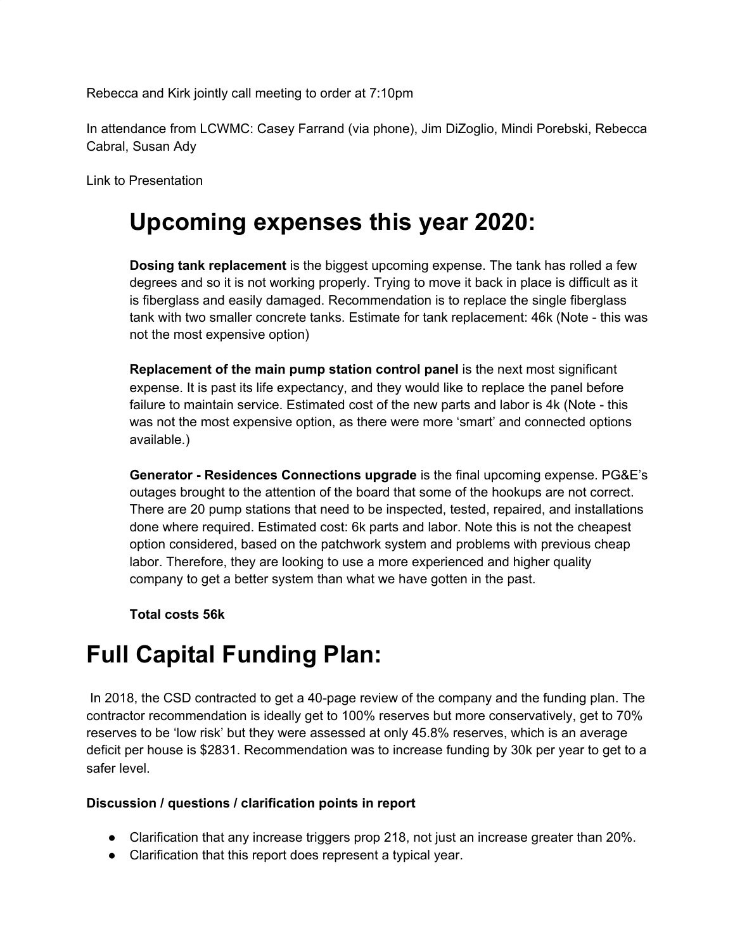Rebecca and Kirk jointly call meeting to order at 7:10pm

In attendance from LCWMC: Casey Farrand (via phone), Jim DiZoglio, Mindi Porebski, Rebecca Cabral, Susan Ady

Link to Presentation

### **Upcoming expenses this year 2020:**

**Dosing tank replacement** is the biggest upcoming expense. The tank has rolled a few degrees and so it is not working properly. Trying to move it back in place is difficult as it is fiberglass and easily damaged. Recommendation is to replace the single fiberglass tank with two smaller concrete tanks. Estimate for tank replacement: 46k (Note - this was not the most expensive option)

**Replacement of the main pump station control panel** is the next most significant expense. It is past its life expectancy, and they would like to replace the panel before failure to maintain service. Estimated cost of the new parts and labor is 4k (Note - this was not the most expensive option, as there were more 'smart' and connected options available.)

**Generator - Residences Connections upgrade** is the final upcoming expense. PG&E's outages brought to the attention of the board that some of the hookups are not correct. There are 20 pump stations that need to be inspected, tested, repaired, and installations done where required. Estimated cost: 6k parts and labor. Note this is not the cheapest option considered, based on the patchwork system and problems with previous cheap labor. Therefore, they are looking to use a more experienced and higher quality company to get a better system than what we have gotten in the past.

**Total costs 56k**

## **Full Capital Funding Plan:**

In 2018, the CSD contracted to get a 40-page review of the company and the funding plan. The contractor recommendation is ideally get to 100% reserves but more conservatively, get to 70% reserves to be 'low risk' but they were assessed at only 45.8% reserves, which is an average deficit per house is \$2831. Recommendation was to increase funding by 30k per year to get to a safer level.

#### **Discussion / questions / clarification points in report**

- Clarification that any increase triggers prop 218, not just an increase greater than 20%.
- Clarification that this report does represent a typical year.